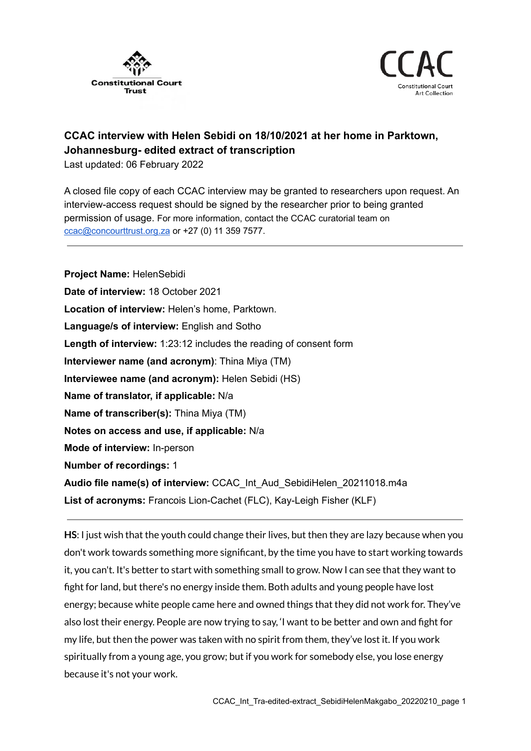



## **CCAC interview with Helen Sebidi on 18/10/2021 at her home in Parktown, Johannesburg- edited extract of transcription**

Last updated: 06 February 2022

A closed file copy of each CCAC interview may be granted to researchers upon request. An interview-access request should be signed by the researcher prior to being granted permission of usage. For more information, contact the CCAC curatorial team on [ccac@concourttrust.org.za](mailto:ccac@concourttrust.org.za) or +27 (0) 11 359 7577.

**Project Name:** HelenSebidi **Date of interview:** 18 October 2021 **Location of interview:** Helen's home, Parktown. **Language/s of interview:** English and Sotho **Length of interview:** 1:23:12 includes the reading of consent form **Interviewer name (and acronym)**: Thina Miya (TM) **Interviewee name (and acronym):** Helen Sebidi (HS) **Name of translator, if applicable:** N/a **Name of transcriber(s):** Thina Miya (TM) **Notes on access and use, if applicable:** N/a **Mode of interview:** In-person **Number of recordings:** 1 **Audio file name(s) of interview:** CCAC\_Int\_Aud\_SebidiHelen\_20211018.m4a **List of acronyms:** Francois Lion-Cachet (FLC), Kay-Leigh Fisher (KLF)

**HS**: I just wish that the youth could change their lives, but then they are lazy because when you don't work towards something more significant, by the time you have to start working towards it, you can't. It's better to start with something small to grow. Now I can see that they want to fight for land, but there's no energy inside them. Both adults and young people have lost energy; because white people came here and owned things that they did not work for. They've also lost their energy. People are now trying to say, 'I want to be better and own and fight for my life, but then the power was taken with no spirit from them, they've lost it. If you work spiritually from a young age, you grow; but if you work for somebody else, you lose energy because it's not your work.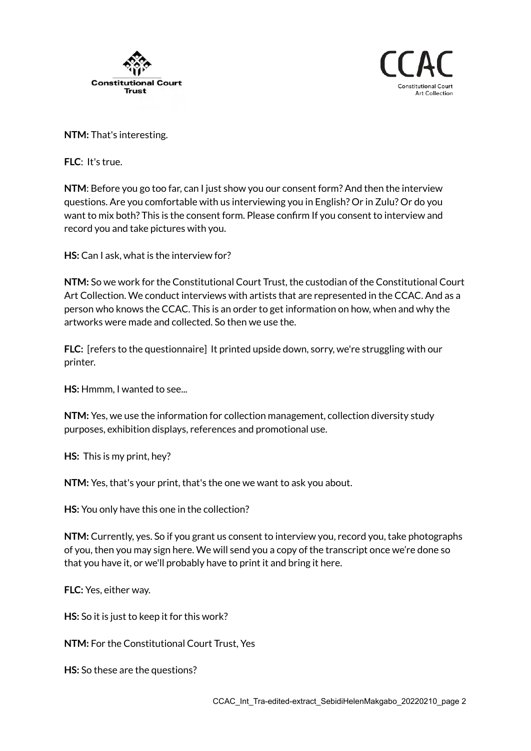



**NTM:** That's interesting.

**FLC**: It's true.

**NTM**: Before you go too far, can I just show you our consent form? And then the interview questions. Are you comfortable with us interviewing you in English? Or in Zulu? Or do you want to mix both? This is the consent form. Please confirm If you consent to interview and record you and take pictures with you.

**HS:** Can I ask, what is the interview for?

**NTM:** So we work for the Constitutional Court Trust, the custodian of the Constitutional Court Art Collection. We conduct interviews with artists that are represented in the CCAC. And as a person who knows the CCAC. This is an order to get information on how, when and why the artworks were made and collected. So then we use the.

**FLC:** [refers to the questionnaire] It printed upside down, sorry, we're struggling with our printer.

**HS:** Hmmm, I wanted to see...

**NTM:** Yes, we use the information for collection management, collection diversity study purposes, exhibition displays, references and promotional use.

**HS:** This is my print, hey?

**NTM:** Yes, that's your print, that's the one we want to ask you about.

**HS:** You only have this one in the collection?

**NTM:** Currently, yes. So if you grant us consent to interview you, record you, take photographs of you, then you may sign here. We will send you a copy of the transcript once we're done so that you have it, or we'll probably have to print it and bring it here.

**FLC:** Yes, either way.

**HS:** So it is just to keep it for this work?

**NTM:** For the Constitutional Court Trust, Yes

**HS:** So these are the questions?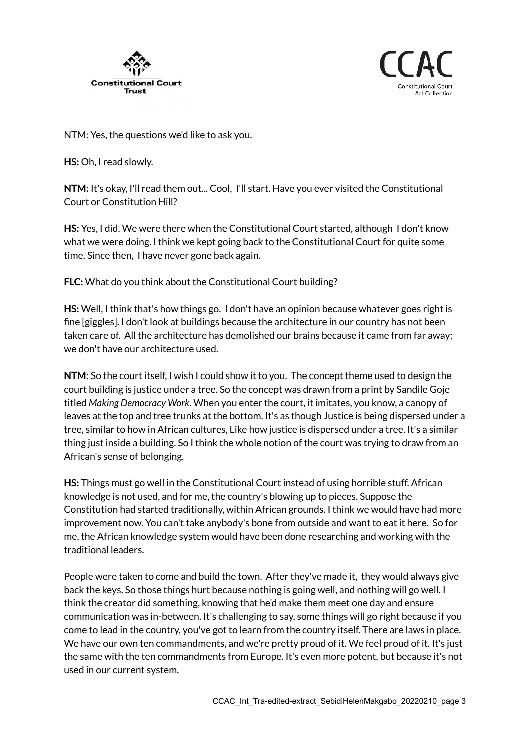



NTM: Yes, the questions we'd like to ask you.

**HS:** Oh, I read slowly.

**NTM:** It's okay, I'll read them out... Cool, I'll start. Have you ever visited the Constitutional Court or Constitution Hill?

**HS:** Yes, I did. We were there when the Constitutional Court started, although I don't know what we were doing. I think we kept going back to the Constitutional Court for quite some time. Since then, I have never gone back again.

**FLC:** What do you think about the Constitutional Court building?

**HS:** Well, I think that's how things go. I don't have an opinion because whatever goes right is fine [giggles]. I don't look at buildings because the architecture in our country has not been taken care of. All the architecture has demolished our brains because it came from far away; we don't have our architecture used.

**NTM:** So the court itself, I wish I could show it to you. The concept theme used to design the court building is justice under a tree. So the concept was drawn from a print by Sandile Goje titled *Making Democracy Work*. When you enter the court, it imitates, you know, a canopy of leaves at the top and tree trunks at the bottom. It's as though Justice is being dispersed under a tree, similar to how in African cultures, Like how justice is dispersed under a tree. It's a similar thing just inside a building. So I think the whole notion of the court was trying to draw from an African's sense of belonging.

**HS:** Things must go well in the Constitutional Court instead of using horrible stuff. African knowledge is not used, and for me, the country's blowing up to pieces. Suppose the Constitution had started traditionally, within African grounds. I think we would have had more improvement now. You can't take anybody's bone from outside and want to eat it here. So for me, the African knowledge system would have been done researching and working with the traditional leaders.

People were taken to come and build the town. After they've made it, they would always give back the keys. So those things hurt because nothing is going well, and nothing will go well. I think the creator did something, knowing that he'd make them meet one day and ensure communication was in-between. It's challenging to say, some things will go right because if you come to lead in the country, you've got to learn from the country itself. There are laws in place. We have our own ten commandments, and we're pretty proud of it. We feel proud of it. It's just the same with the ten commandments from Europe. It's even more potent, but because it's not used in our current system.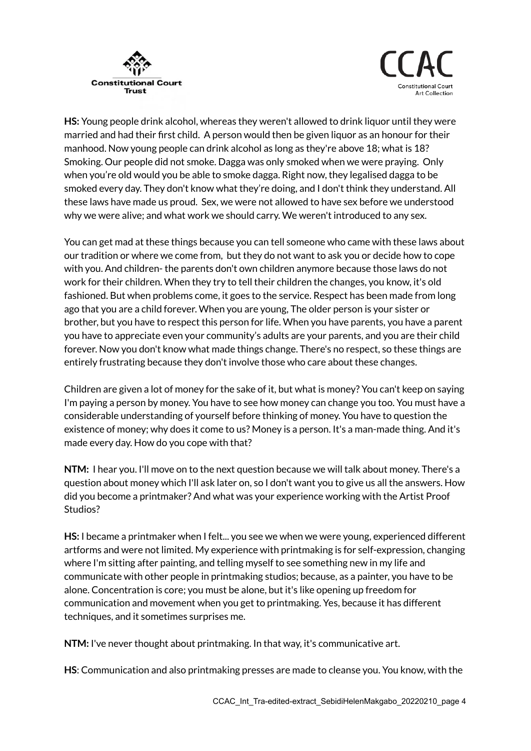



**HS:** Young people drink alcohol, whereas they weren't allowed to drink liquor until they were married and had their first child. A person would then be given liquor as an honour for their manhood. Now young people can drink alcohol as long as they're above 18; what is 18? Smoking. Our people did not smoke. Dagga was only smoked when we were praying. Only when you're old would you be able to smoke dagga. Right now, they legalised dagga to be smoked every day. They don't know what they're doing, and I don't think they understand. All these laws have made us proud. Sex, we were not allowed to have sex before we understood why we were alive; and what work we should carry. We weren't introduced to any sex.

You can get mad at these things because you can tell someone who came with these laws about our tradition or where we come from, but they do not want to ask you or decide how to cope with you. And children- the parents don't own children anymore because those laws do not work for their children. When they try to tell their children the changes, you know, it's old fashioned. But when problems come, it goes to the service. Respect has been made from long ago that you are a child forever. When you are young, The older person is your sister or brother, but you have to respect this person for life. When you have parents, you have a parent you have to appreciate even your community's adults are your parents, and you are their child forever. Now you don't know what made things change. There's no respect, so these things are entirely frustrating because they don't involve those who care about these changes.

Children are given a lot of money for the sake of it, but what is money? You can't keep on saying I'm paying a person by money. You have to see how money can change you too. You must have a considerable understanding of yourself before thinking of money. You have to question the existence of money; why does it come to us? Money is a person. It's a man-made thing. And it's made every day. How do you cope with that?

**NTM:** I hear you. I'll move on to the next question because we will talk about money. There's a question about money which I'll ask later on, so I don't want you to give us all the answers. How did you become a printmaker? And what was your experience working with the Artist Proof Studios?

**HS:** I became a printmaker when I felt... you see we when we were young, experienced different artforms and were not limited. My experience with printmaking is for self-expression, changing where I'm sitting after painting, and telling myself to see something new in my life and communicate with other people in printmaking studios; because, as a painter, you have to be alone. Concentration is core; you must be alone, but it's like opening up freedom for communication and movement when you get to printmaking. Yes, because it has different techniques, and it sometimes surprises me.

**NTM:** I've never thought about printmaking. In that way, it's communicative art.

**HS**: Communication and also printmaking presses are made to cleanse you. You know, with the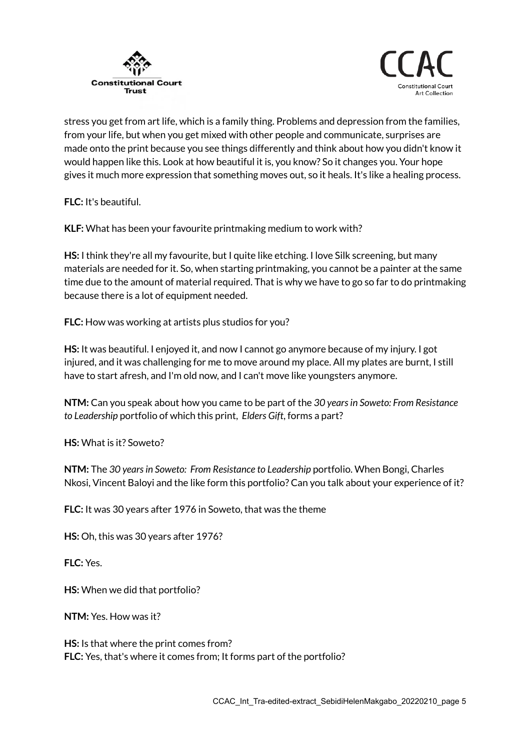



stress you get from art life, which is a family thing. Problems and depression from the families, from your life, but when you get mixed with other people and communicate, surprises are made onto the print because you see things differently and think about how you didn't know it would happen like this. Look at how beautiful it is, you know? So it changes you. Your hope gives it much more expression that something moves out, so it heals. It's like a healing process.

**FLC:** It's beautiful.

**KLF:** What has been your favourite printmaking medium to work with?

**HS:** I think they're all my favourite, but I quite like etching. I love Silk screening, but many materials are needed for it. So, when starting printmaking, you cannot be a painter at the same time due to the amount of material required. That is why we have to go so far to do printmaking because there is a lot of equipment needed.

**FLC:** How was working at artists plus studios for you?

**HS:** It was beautiful. I enjoyed it, and now I cannot go anymore because of my injury. I got injured, and it was challenging for me to move around my place. All my plates are burnt, I still have to start afresh, and I'm old now, and I can't move like youngsters anymore.

**NTM:** Can you speak about how you came to be part of the *30 yearsin Soweto: From Resistance to Leadership* portfolio of which this print, *Elders Gift*, forms a part?

**HS:** What is it? Soweto?

**NTM:** The *30 yearsin Soweto: From Resistance to Leadership* portfolio. When Bongi, Charles Nkosi, Vincent Baloyi and the like form this portfolio? Can you talk about your experience of it?

**FLC:** It was 30 years after 1976 in Soweto, that was the theme

**HS:** Oh, this was 30 years after 1976?

**FLC:** Yes.

**HS:** When we did that portfolio?

**NTM:** Yes. How was it?

**HS:** Is that where the print comes from? **FLC:** Yes, that's where it comes from; It forms part of the portfolio?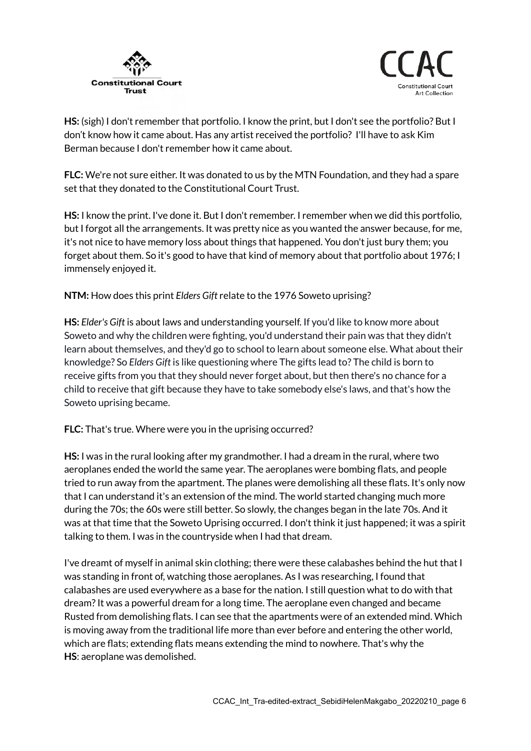



**HS:** (sigh) I don't remember that portfolio. I know the print, but I don't see the portfolio? But I don't know how it came about. Has any artist received the portfolio? I'll have to ask Kim Berman because I don't remember how it came about.

**FLC:** We're not sure either. It was donated to us by the MTN Foundation, and they had a spare set that they donated to the Constitutional Court Trust.

**HS:** I know the print. I've done it. But I don't remember. I remember when we did this portfolio, but I forgot all the arrangements. It was pretty nice as you wanted the answer because, for me, it's not nice to have memory loss about things that happened. You don't just bury them; you forget about them. So it's good to have that kind of memory about that portfolio about 1976; I immensely enjoyed it.

**NTM:** How does this print *Elders Gift* relate to the 1976 Soweto uprising?

**HS:** *Elder's Gift* is about laws and understanding yourself. If you'd like to know more about Soweto and why the children were fighting, you'd understand their pain was that they didn't learn about themselves, and they'd go to school to learn about someone else. What about their knowledge? So *Elders Gift* is like questioning where The gifts lead to? The child is born to receive gifts from you that they should never forget about, but then there's no chance for a child to receive that gift because they have to take somebody else's laws, and that's how the Soweto uprising became.

**FLC:** That's true. Where were you in the uprising occurred?

**HS:** I was in the rural looking after my grandmother. I had a dream in the rural, where two aeroplanes ended the world the same year. The aeroplanes were bombing flats, and people tried to run away from the apartment. The planes were demolishing all these flats. It's only now that I can understand it's an extension of the mind. The world started changing much more during the 70s; the 60s were still better. So slowly, the changes began in the late 70s. And it was at that time that the Soweto Uprising occurred. I don't think it just happened; it was a spirit talking to them. I was in the countryside when I had that dream.

I've dreamt of myself in animal skin clothing; there were these calabashes behind the hut that I was standing in front of, watching those aeroplanes. As I was researching, I found that calabashes are used everywhere as a base for the nation. I still question what to do with that dream?It was a powerful dream for a long time. The aeroplane even changed and became Rusted from demolishing flats. I can see that the apartments were of an extended mind. Which is moving away from the traditional life more than ever before and entering the other world, which are flats; extending flats means extending the mind to nowhere. That's why the **HS**: aeroplane was demolished.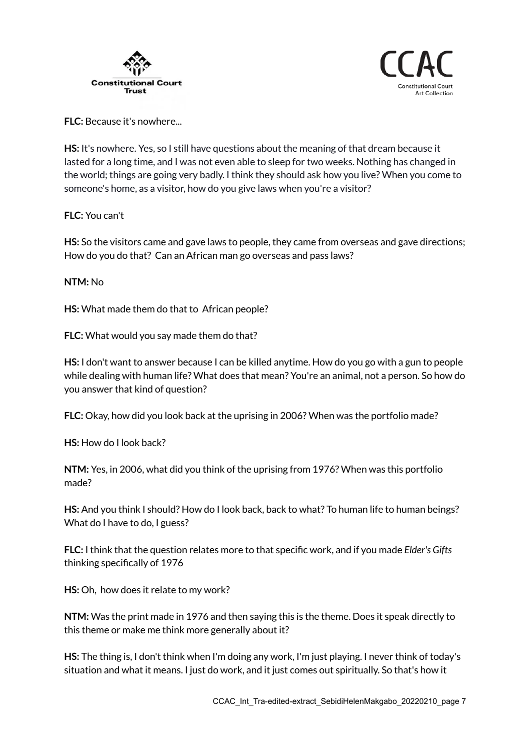



**FLC:** Because it's nowhere...

**HS:** It's nowhere. Yes, so I still have questions about the meaning of that dream because it lasted for a long time, and I was not even able to sleep for two weeks. Nothing has changed in the world; things are going very badly. I think they should ask how you live? When you come to someone's home, as a visitor, how do you give laws when you're a visitor?

**FLC:** You can't

**HS:** So the visitors came and gave laws to people, they came from overseas and gave directions; How do you do that? Can an African man go overseas and pass laws?

## **NTM:** No

**HS:** What made them do that to African people?

**FLC:** What would you say made them do that?

**HS:** I don't want to answer because I can be killed anytime. How do you go with a gun to people while dealing with human life? What does that mean? You're an animal, not a person. So how do you answer that kind of question?

**FLC:** Okay, how did you look back at the uprising in 2006? When was the portfolio made?

**HS:** How do I look back?

**NTM:** Yes, in 2006, what did you think of the uprising from 1976? When was this portfolio made?

**HS:** And you think I should? How do I look back, back to what? To human life to human beings? What do I have to do, I guess?

**FLC:** I think that the question relates more to that specific work, and if you made *Elder's Gifts* thinking specifically of 1976

**HS:** Oh, how does it relate to my work?

**NTM:** Was the print made in 1976 and then saying this is the theme. Does it speak directly to this theme or make me think more generally about it?

**HS:** The thing is, I don't think when I'm doing any work, I'm just playing. I never think of today's situation and what it means. I just do work, and it just comes out spiritually. So that's how it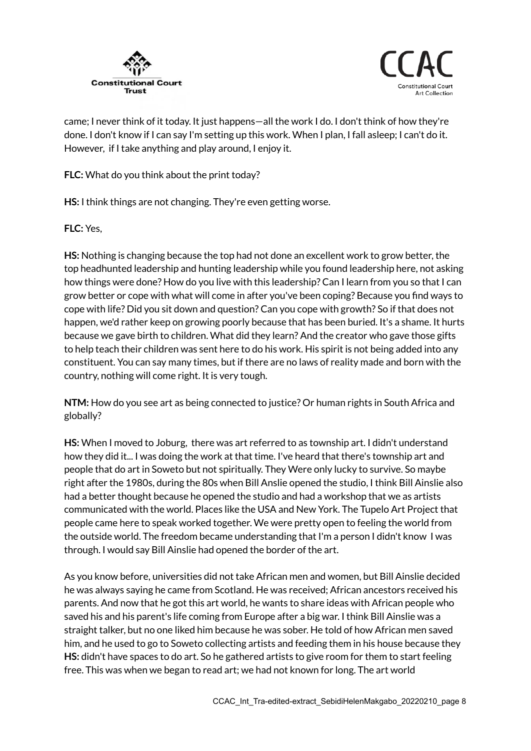



came; I never think of it today. It just happens—all the work I do. I don't think of how they're done. I don't know if I can say I'm setting up this work. When I plan, I fall asleep; I can't do it. However, if I take anything and play around, I enjoy it.

**FLC:** What do you think about the print today?

**HS:** I think things are not changing. They're even getting worse.

**FLC:** Yes,

**HS:** Nothing is changing because the top had not done an excellent work to grow better, the top headhunted leadership and hunting leadership while you found leadership here, not asking how things were done? How do you live with this leadership? Can I learn from you so that I can grow better or cope with what will come in after you've been coping? Because you find ways to cope with life? Did you sit down and question? Can you cope with growth? So if that does not happen, we'd rather keep on growing poorly because that has been buried. It's a shame. It hurts because we gave birth to children. What did they learn? And the creator who gave those gifts to help teach their children was sent here to do his work. His spirit is not being added into any constituent. You can say many times, but if there are no laws of reality made and born with the country, nothing will come right. It is very tough.

**NTM:** How do you see art as being connected to justice? Or human rights in South Africa and globally?

**HS:** When I moved to Joburg, there was art referred to as township art. I didn't understand how they did it... I was doing the work at that time. I've heard that there's township art and people that do art in Soweto but not spiritually. They Were only lucky to survive. So maybe right after the 1980s, during the 80s when Bill Anslie opened the studio, I think Bill Ainslie also had a better thought because he opened the studio and had a workshop that we as artists communicated with the world. Places like the USA and New York. The Tupelo Art Project that people came here to speak worked together. We were pretty open to feeling the world from the outside world. The freedom became understanding that I'm a person I didn't know I was through. I would say Bill Ainslie had opened the border of the art.

As you know before, universities did not take African men and women, but Bill Ainslie decided he was always saying he came from Scotland. He was received; African ancestors received his parents. And now that he got this art world, he wants to share ideas with African people who saved his and his parent's life coming from Europe after a big war. I think Bill Ainslie was a straight talker, but no one liked him because he was sober. He told of how African men saved him, and he used to go to Soweto collecting artists and feeding them in his house because they **HS:** didn't have spaces to do art. So he gathered artists to give room for them to start feeling free. This was when we began to read art; we had not known for long. The art world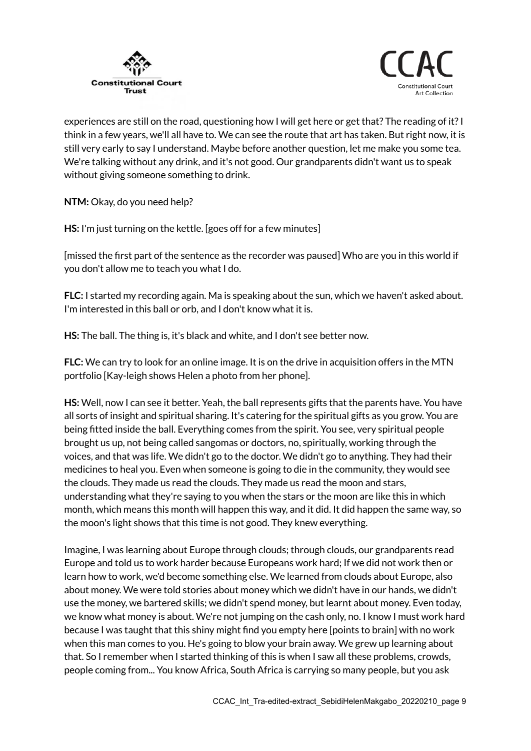



experiences are still on the road, questioning how I will get here or get that? The reading of it?I think in a few years, we'll all have to. We can see the route that art has taken. But right now, it is still very early to say I understand. Maybe before another question, let me make you some tea. We're talking without any drink, and it's not good. Our grandparents didn't want us to speak without giving someone something to drink.

**NTM:** Okay, do you need help?

**HS:** I'm just turning on the kettle. [goes off for a few minutes]

[missed the first part of the sentence as the recorder was paused] Who are you in this world if you don't allow me to teach you what I do.

**FLC:** I started my recording again. Ma is speaking about the sun, which we haven't asked about. I'm interested in this ball or orb, and I don't know what it is.

**HS:** The ball. The thing is, it's black and white, and I don't see better now.

**FLC:** We can try to look for an online image. It is on the drive in acquisition offers in the MTN portfolio [Kay-leigh shows Helen a photo from her phone].

**HS:** Well, now I can see it better. Yeah, the ball represents gifts that the parents have. You have all sorts of insight and spiritual sharing. It's catering for the spiritual gifts as you grow. You are being fitted inside the ball. Everything comes from the spirit. You see, very spiritual people brought us up, not being called sangomas or doctors, no, spiritually, working through the voices, and that was life. We didn't go to the doctor. We didn't go to anything. They had their medicines to heal you. Even when someone is going to die in the community, they would see the clouds. They made us read the clouds. They made us read the moon and stars, understanding what they're saying to you when the stars or the moon are like this in which month, which means this month will happen this way, and it did. It did happen the same way, so the moon's light shows that this time is not good. They knew everything.

Imagine, I was learning about Europe through clouds; through clouds, our grandparents read Europe and told us to work harder because Europeans work hard; If we did not work then or learn how to work, we'd become something else. We learned from clouds about Europe, also about money. We were told stories about money which we didn't have in our hands, we didn't use the money, we bartered skills; we didn't spend money, but learnt about money. Even today, we know what money is about. We're not jumping on the cash only, no. I know I must work hard because I was taught that this shiny might find you empty here [points to brain] with no work when this man comes to you. He's going to blow your brain away. We grew up learning about that. So I remember when I started thinking of this is when I saw all these problems, crowds, people coming from... You know Africa, South Africa is carrying so many people, but you ask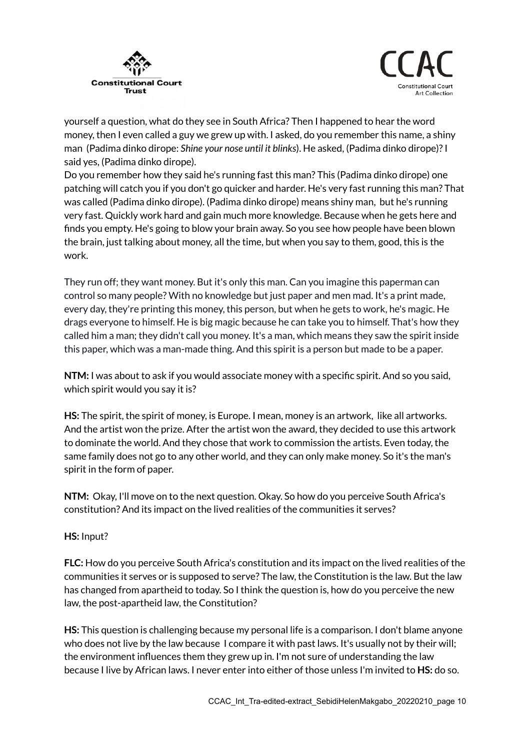



yourself a question, what do they see in South Africa? Then I happened to hear the word money, then I even called a guy we grew up with. I asked, do you remember this name, a shiny man (Padima dinko dirope: *Shine your nose until it blinks*). He asked, (Padima dinko dirope)?I said yes, (Padima dinko dirope).

Do you remember how they said he's running fast this man? This (Padima dinko dirope) one patching will catch you if you don't go quicker and harder. He's very fast running this man? That was called (Padima dinko dirope). (Padima dinko dirope) means shiny man, but he's running very fast. Quickly work hard and gain much more knowledge. Because when he gets here and finds you empty. He's going to blow your brain away. So you see how people have been blown the brain, just talking about money, all the time, but when you say to them, good, this is the work.

They run off; they want money. But it's only this man. Can you imagine this paperman can control so many people? With no knowledge but just paper and men mad. It's a print made, every day, they're printing this money, this person, but when he gets to work, he's magic. He drags everyone to himself. He is big magic because he can take you to himself. That's how they called him a man; they didn't call you money. It's a man, which means they saw the spirit inside this paper, which was a man-made thing. And this spirit is a person but made to be a paper.

**NTM:** I was about to ask if you would associate money with a specific spirit. And so you said, which spirit would you say it is?

**HS:** The spirit, the spirit of money, is Europe. I mean, money is an artwork, like all artworks. And the artist won the prize. After the artist won the award, they decided to use this artwork to dominate the world. And they chose that work to commission the artists. Even today, the same family does not go to any other world, and they can only make money. So it's the man's spirit in the form of paper.

**NTM:** Okay, I'll move on to the next question. Okay. So how do you perceive South Africa's constitution? And its impact on the lived realities of the communities it serves?

## **HS:** Input?

**FLC:** How do you perceive South Africa's constitution and its impact on the lived realities of the communities it serves or is supposed to serve? The law, the Constitution is the law. But the law has changed from apartheid to today. So I think the question is, how do you perceive the new law, the post-apartheid law, the Constitution?

**HS:** This question is challenging because my personal life is a comparison. I don't blame anyone who does not live by the law because I compare it with past laws. It's usually not by their will; the environment influences them they grew up in. I'm not sure of understanding the law because I live by African laws. I never enter into either of those unless I'm invited to **HS:** do so.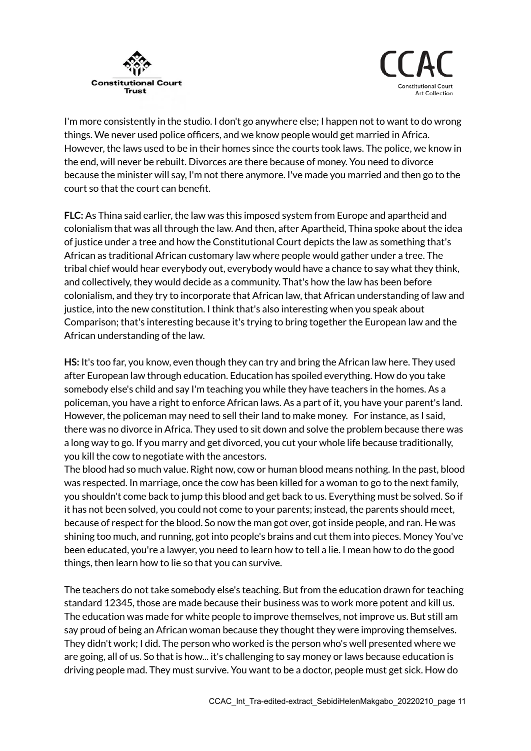



I'm more consistently in the studio. I don't go anywhere else; I happen not to want to do wrong things. We never used police officers, and we know people would get married in Africa. However, the laws used to be in their homes since the courts took laws. The police, we know in the end, will never be rebuilt. Divorces are there because of money. You need to divorce because the minister will say, I'm not there anymore. I've made you married and then go to the court so that the court can benefit.

**FLC:** As Thina said earlier, the law was this imposed system from Europe and apartheid and colonialism that was all through the law. And then, after Apartheid, Thina spoke about the idea of justice under a tree and how the Constitutional Court depicts the law as something that's African as traditional African customary law where people would gather under a tree. The tribal chief would hear everybody out, everybody would have a chance to say what they think, and collectively, they would decide as a community. That's how the law has been before colonialism, and they try to incorporate that African law, that African understanding of law and justice, into the new constitution. I think that's also interesting when you speak about Comparison; that's interesting because it's trying to bring together the European law and the African understanding of the law.

**HS:** It's too far, you know, even though they can try and bring the African law here. They used after European law through education. Education has spoiled everything. How do you take somebody else's child and say I'm teaching you while they have teachers in the homes. As a policeman, you have a right to enforce African laws. As a part of it, you have your parent's land. However, the policeman may need to sell their land to make money. For instance, as I said, there was no divorce in Africa. They used to sit down and solve the problem because there was a long way to go. If you marry and get divorced, you cut your whole life because traditionally, you kill the cow to negotiate with the ancestors.

The blood had so much value. Right now, cow or human blood means nothing. In the past, blood was respected. In marriage, once the cow has been killed for a woman to go to the next family, you shouldn't come back to jump this blood and get back to us. Everything must be solved. So if it has not been solved, you could not come to your parents; instead, the parents should meet, because of respect for the blood. So now the man got over, got inside people, and ran. He was shining too much, and running, got into people's brains and cut them into pieces. Money You've been educated, you're a lawyer, you need to learn how to tell a lie. I mean how to do the good things, then learn how to lie so that you can survive.

The teachers do not take somebody else's teaching. But from the education drawn for teaching standard 12345, those are made because their business was to work more potent and kill us. The education was made for white people to improve themselves, not improve us. But still am say proud of being an African woman because they thought they were improving themselves. They didn't work; I did. The person who worked is the person who's well presented where we are going, all of us. So that is how... it's challenging to say money or laws because education is driving people mad. They must survive. You want to be a doctor, people must get sick. How do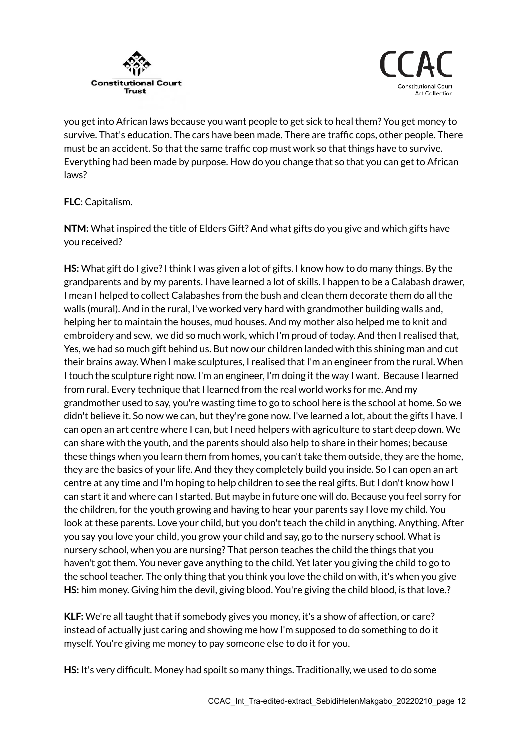



you get into African laws because you want people to get sick to heal them? You get money to survive. That's education. The cars have been made. There are traffic cops, other people. There must be an accident. So that the same traffic cop must work so that things have to survive. Everything had been made by purpose. How do you change that so that you can get to African laws?

## **FLC**: Capitalism.

**NTM:** What inspired the title of Elders Gift? And what gifts do you give and which gifts have you received?

**HS:** What gift do I give? I think I was given a lot of gifts. I know how to do many things. By the grandparents and by my parents. I have learned a lot of skills. I happen to be a Calabash drawer, I mean I helped to collect Calabashes from the bush and clean them decorate them do all the walls (mural). And in the rural, I've worked very hard with grandmother building walls and, helping her to maintain the houses, mud houses. And my mother also helped me to knit and embroidery and sew, we did so much work, which I'm proud of today. And then I realised that, Yes, we had so much gift behind us. But now our children landed with this shining man and cut their brains away. When I make sculptures, I realised that I'm an engineer from the rural. When I touch the sculpture right now. I'm an engineer, I'm doing it the way I want. Because I learned from rural. Every technique that I learned from the real world works for me. And my grandmother used to say, you're wasting time to go to school here is the school at home. So we didn't believe it. So now we can, but they're gone now. I've learned a lot, about the gifts I have. I can open an art centre where I can, but I need helpers with agriculture to start deep down. We can share with the youth, and the parents should also help to share in their homes; because these things when you learn them from homes, you can't take them outside, they are the home, they are the basics of your life. And they they completely build you inside. So I can open an art centre at any time and I'm hoping to help children to see the real gifts. But I don't know how I can start it and where can I started. But maybe in future one will do. Because you feel sorry for the children, for the youth growing and having to hear your parents say I love my child. You look at these parents. Love your child, but you don't teach the child in anything. Anything. After you say you love your child, you grow your child and say, go to the nursery school. What is nursery school, when you are nursing? That person teaches the child the things that you haven't got them. You never gave anything to the child. Yet later you giving the child to go to the school teacher. The only thing that you think you love the child on with, it's when you give **HS:** him money. Giving him the devil, giving blood. You're giving the child blood, is that love.?

**KLF:** We're all taught that if somebody gives you money, it's a show of affection, or care? instead of actually just caring and showing me how I'm supposed to do something to do it myself. You're giving me money to pay someone else to do it for you.

**HS:** It's very difficult. Money had spoilt so many things. Traditionally, we used to do some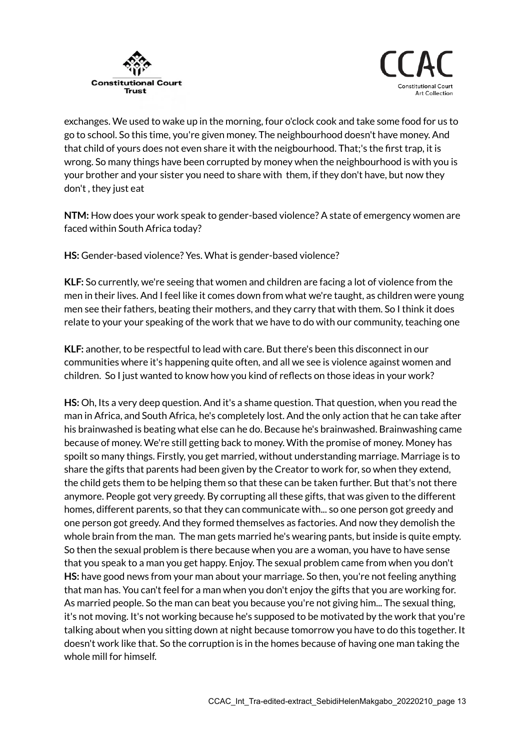



exchanges. We used to wake up in the morning, four o'clock cook and take some food for us to go to school. So this time, you're given money. The neighbourhood doesn't have money. And that child of yours does not even share it with the neigbourhood. That;'s the first trap, it is wrong. So many things have been corrupted by money when the neighbourhood is with you is your brother and your sister you need to share with them, if they don't have, but now they don't , they just eat

**NTM:** How does your work speak to gender-based violence? A state of emergency women are faced within South Africa today?

**HS:** Gender-based violence? Yes. What is gender-based violence?

**KLF:** So currently, we're seeing that women and children are facing a lot of violence from the men in their lives. And I feel like it comes down from what we're taught, as children were young men see their fathers, beating their mothers, and they carry that with them. So I think it does relate to your your speaking of the work that we have to do with our community, teaching one

**KLF:** another, to be respectful to lead with care. But there's been this disconnect in our communities where it's happening quite often, and all we see is violence against women and children. So I just wanted to know how you kind of reflects on those ideas in your work?

**HS:** Oh, Its a very deep question. And it's a shame question. That question, when you read the man in Africa, and South Africa, he's completely lost. And the only action that he can take after his brainwashed is beating what else can he do. Because he's brainwashed. Brainwashing came because of money. We're still getting back to money. With the promise of money. Money has spoilt so many things. Firstly, you get married, without understanding marriage. Marriage is to share the gifts that parents had been given by the Creator to work for, so when they extend, the child gets them to be helping them so that these can be taken further. But that's not there anymore. People got very greedy. By corrupting all these gifts, that was given to the different homes, different parents, so that they can communicate with... so one person got greedy and one person got greedy. And they formed themselves as factories. And now they demolish the whole brain from the man. The man gets married he's wearing pants, but inside is quite empty. So then the sexual problem is there because when you are a woman, you have to have sense that you speak to a man you get happy. Enjoy. The sexual problem came from when you don't **HS:** have good news from your man about your marriage. So then, you're not feeling anything that man has. You can't feel for a man when you don't enjoy the gifts that you are working for. As married people. So the man can beat you because you're not giving him... The sexual thing, it's not moving. It's not working because he's supposed to be motivated by the work that you're talking about when you sitting down at night because tomorrow you have to do this together. It doesn't work like that. So the corruption is in the homes because of having one man taking the whole mill for himself.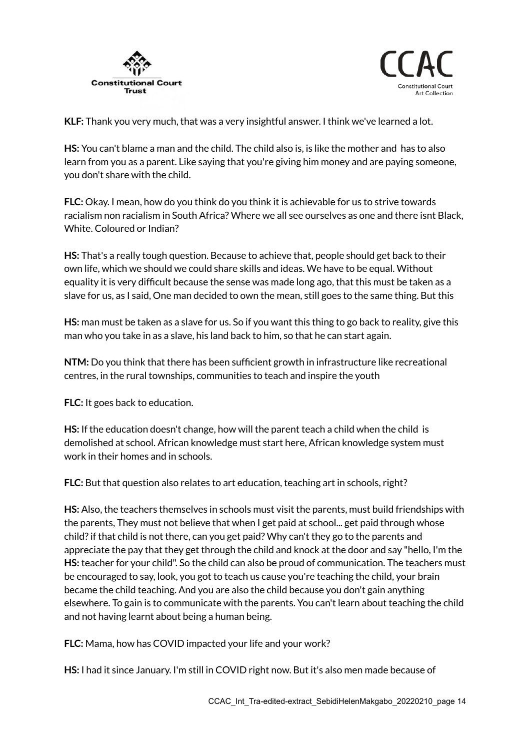



**KLF:** Thank you very much, that was a very insightful answer. I think we've learned a lot.

**HS:** You can't blame a man and the child. The child also is, is like the mother and has to also learn from you as a parent. Like saying that you're giving him money and are paying someone, you don't share with the child.

**FLC:** Okay. I mean, how do you think do you think it is achievable for us to strive towards racialism non racialism in South Africa? Where we all see ourselves as one and there isnt Black, White. Coloured or Indian?

**HS:** That's a really tough question. Because to achieve that, people should get back to their own life, which we should we could share skills and ideas. We have to be equal. Without equality it is very difficult because the sense was made long ago, that this must be taken as a slave for us, as I said, One man decided to own the mean, still goes to the same thing. But this

**HS:** man must be taken as a slave for us. So if you want this thing to go back to reality, give this man who you take in as a slave, his land back to him, so that he can start again.

**NTM:** Do you think that there has been sufficient growth in infrastructure like recreational centres, in the rural townships, communities to teach and inspire the youth

**FLC:** It goes back to education.

**HS:** If the education doesn't change, how will the parent teach a child when the child is demolished at school. African knowledge must start here, African knowledge system must work in their homes and in schools.

**FLC:** But that question also relates to art education, teaching art in schools, right?

**HS:** Also, the teachers themselves in schools must visit the parents, must build friendships with the parents, They must not believe that when I get paid at school... get paid through whose child? if that child is not there, can you get paid? Why can't they go to the parents and appreciate the pay that they get through the child and knock at the door and say "hello, I'm the **HS:** teacher for your child". So the child can also be proud of communication. The teachers must be encouraged to say, look, you got to teach us cause you're teaching the child, your brain became the child teaching. And you are also the child because you don't gain anything elsewhere. To gain is to communicate with the parents. You can't learn about teaching the child and not having learnt about being a human being.

**FLC:** Mama, how has COVID impacted your life and your work?

**HS:** I had it since January. I'm still in COVID right now. But it's also men made because of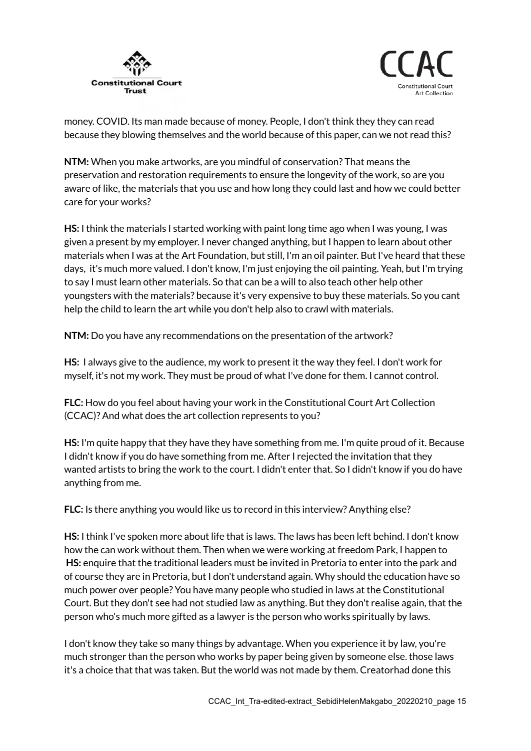



money. COVID. Its man made because of money. People, I don't think they they can read because they blowing themselves and the world because of this paper, can we not read this?

**NTM:** When you make artworks, are you mindful of conservation? That means the preservation and restoration requirements to ensure the longevity of the work, so are you aware of like, the materials that you use and how long they could last and how we could better care for your works?

**HS:** I think the materials I started working with paint long time ago when I was young, I was given a present by my employer. I never changed anything, but I happen to learn about other materials when I was at the Art Foundation, but still, I'm an oil painter. But I've heard that these days, it's much more valued. I don't know, I'm just enjoying the oil painting. Yeah, but I'm trying to say I must learn other materials. So that can be a will to also teach other help other youngsters with the materials? because it's very expensive to buy these materials. So you cant help the child to learn the art while you don't help also to crawl with materials.

**NTM:** Do you have any recommendations on the presentation of the artwork?

**HS:** I always give to the audience, my work to present it the way they feel. I don't work for myself, it's not my work. They must be proud of what I've done for them. I cannot control.

**FLC:** How do you feel about having your work in the Constitutional Court Art Collection (CCAC)? And what does the art collection represents to you?

**HS:** I'm quite happy that they have they have something from me. I'm quite proud of it. Because I didn't know if you do have something from me. After I rejected the invitation that they wanted artists to bring the work to the court. I didn't enter that. So I didn't know if you do have anything from me.

**FLC:** Is there anything you would like us to record in this interview? Anything else?

**HS:** I think I've spoken more about life that is laws. The laws has been left behind. I don't know how the can work without them. Then when we were working at freedom Park, I happen to **HS:** enquire that the traditional leaders must be invited in Pretoria to enter into the park and of course they are in Pretoria, but I don't understand again. Why should the education have so much power over people? You have many people who studied in laws at the Constitutional Court. But they don't see had not studied law as anything. But they don't realise again, that the person who's much more gifted as a lawyer is the person who works spiritually by laws.

I don't know they take so many things by advantage. When you experience it by law, you're much stronger than the person who works by paper being given by someone else. those laws it's a choice that that was taken. But the world was not made by them. Creatorhad done this